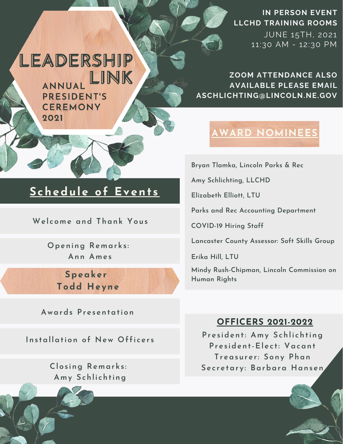### **IN PERSON EVENT LLCHD TRAINING ROOMS**

JUNE 15TH, 2021 11:30 AM - 12:30 PM

**ZOOM ATTENDANCE ALSO AVAILABLE PLEASE EMAIL ASCHLICHTING@LINCOLN.NE.GOV**

## **AWARD NOMINEES**

**Bryan Tlamka, Lincoln Parks & Rec**

**Amy Schlichting, LLCHD**

**Elizabeth Elliott, LTU**

**Parks and Rec Accounting Department**

**COVID-19 Hiring Staff**

**Lancaster County Assessor: Soft Skills Group**

**Erika Hill, LTU**

**Mindy Rush-Chipman, Lincoln Commission on Human Rights**

### **OFFICERS 2021-2022**

**President: Amy Schlichting President-Elect: Vacant Treasurer: Sony Phan Secretary: Barbara Hansen**



LEADERSHIP

ANNUAL LINK PRESIDENT'S **CEREMONY** 2021

## **Schedule of Events**

**Welcome and Thank Yous**

**Opening Remarks: Ann Ames**

> **Speaker Todd Heyne**

**Awards Presentation**

**Installation of New Officers**

**Closing Remarks: Amy Schlichting**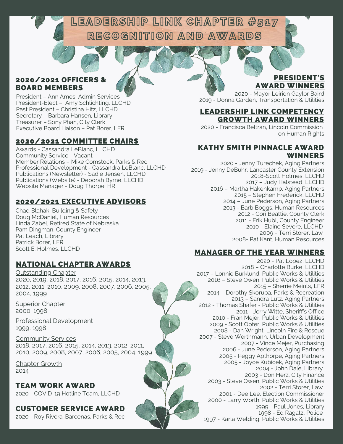LEADERSHIP LINK CHAPTER #587 RECOGNITION AND AWARDS

#### 2020/2021 OFFICERS & BOARD MEMBERS

President – Ann Ames, Admin Services President-Elect – Amy Schlichting, LLCHD Past President – Christina Hitz, LLCHD Secretary – Barbara Hansen, Library Treasurer – Sony Phan, City Clerk Executive Board Liaison – Pat Borer, LFR

#### 2020/2021 COMMITTEE CHAIRS

Awards - Cassandra LeBlanc, LLCHD Community Service - Vacant Member Relations – Mike Comstock, Parks & Rec Professional Development - Cassandra LeBlanc, LLCHD Publications (Newsletter) - Sadie Jensen, LLCHD Publications (Website) - Deborah Byrne, LLCHD Website Manager - Doug Thorpe, HR

#### 2020/2021 EXECUTIVE ADVISORS

Chad Blahak, Building & Safety Doug McDaniel, Human Resources Linda Zabel, Retired State of Nebraska Pam Dingman, County Engineer Pat Leach, Library Patrick Borer, LFR Scott E. Holmes, LLCHD

#### NATIONAL CHAPTER AWARDS

Outstanding Chapter 2020, 2019, 2018, 2017, 2016, 2015, 2014, 2013, 2012, 2011, 2010, 2009, 2008, 2007, 2006, 2005, 2004, 1999

**Superior Chapter** 2000, 1998

Professional Development 1999, 1998

Community Services 2018, 2017, 2016, 2015, 2014, 2013, 2012, 2011, 2010, 2009, 2008, 2007, 2006, 2005, 2004, 1999

Chapter Growth 2014

2020 - COVID-19 Hotline Team, LLCHD TEAM WORK AWARD

#### CUSTOMER SERVICE AWARD

2020 - Roy Rivera-Barcenas, Parks & Rec

#### PRESIDENT'S AWARD WINNERS

2020 - Mayor Leirion Gaylor Baird 2019 - Donna Garden, Transportation & Utilities

#### LEADERSHIP LINK COMPETENCY GROWTH AWARD WINNERS

2020 - Francisca Beltran, Lincoln Commission on Human Rights

#### KATHY SMITH PINNACLE AWARD WINNERS

2020 - Jenny Turechek, Aging Partners 2019 - Jenny DeBuhr, Lancaster County Extension 2018-Scott Holmes, LLCHD 2017 – Judy Halstead, LLCHD 2016 – Martha Hakenkamp, Aging Partners 2015 – Stephen Frederick, LLCHD 2014 – June Pederson, Aging Partners 2013 - Barb Boggs, Human Resources 2012 - Cori Beattie, County Clerk 2011 - Erik Hubl, County Engineer 2010 - Elaine Severe, LLCHD 2009 - Terri Storer, Law 2008- Pat Kant, Human Resources

#### MANAGER OF THE YEAR WINNERS

2020 - Pat Lopez, LLCHD 2018 – Charlotte Burke, LLCHD 2017 – Lonnie Burklund, Public Works & Utilities 2016 – Steve Owen, Public Works & Utilities 2015 – Sherrie Meints, LFR 2014 – Dorothy Skorupa, Parks & Recreation 2013 – Sandra Lutz, Aging Partners 2012 - Thomas Shafer - Public Works & Utilities 2011 - Jerry Witte, Sheriff's Office 2010 - Fran Mejer, Public Works & Utilities 2009 - Scott Opfer, Public Works & Utilities 2008 - Dan Wright, Lincoln Fire & Rescue 2007 - Steve Werthmann, Urban Development 2007 - Vince Mejer, Purchasing 2006 - June Pederson, Aging Partners 2005 - Peggy Apthorpe, Aging Partners 2005 - Joyce Kubicek, Aging Partners 2004 - John Dale, Library 2003 - Don Herz, City Finance 2003 - Steve Owen, Public Works & Utilities 2002 - Terri Storer, Law 2001 - Dee Lee, Election Commissioner 2000 - Larry Worth, Public Works & Utilities 1999 - Paul Jones, Library 1998 - Ed Ragatz, Police 1997 - Karla Welding, Public Works & Utilities